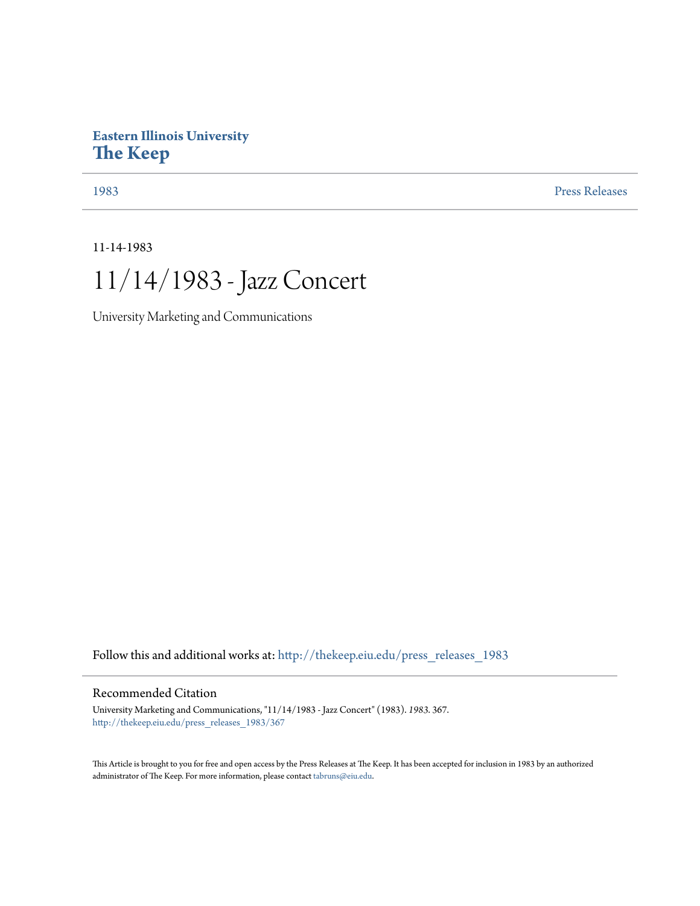## **Eastern Illinois University [The Keep](http://thekeep.eiu.edu?utm_source=thekeep.eiu.edu%2Fpress_releases_1983%2F367&utm_medium=PDF&utm_campaign=PDFCoverPages)**

[1983](http://thekeep.eiu.edu/press_releases_1983?utm_source=thekeep.eiu.edu%2Fpress_releases_1983%2F367&utm_medium=PDF&utm_campaign=PDFCoverPages) [Press Releases](http://thekeep.eiu.edu/press_releases_collection?utm_source=thekeep.eiu.edu%2Fpress_releases_1983%2F367&utm_medium=PDF&utm_campaign=PDFCoverPages)

11-14-1983

11/14/1983 - Jazz Concert

University Marketing and Communications

Follow this and additional works at: [http://thekeep.eiu.edu/press\\_releases\\_1983](http://thekeep.eiu.edu/press_releases_1983?utm_source=thekeep.eiu.edu%2Fpress_releases_1983%2F367&utm_medium=PDF&utm_campaign=PDFCoverPages)

## Recommended Citation

University Marketing and Communications, "11/14/1983 - Jazz Concert" (1983). *1983*. 367. [http://thekeep.eiu.edu/press\\_releases\\_1983/367](http://thekeep.eiu.edu/press_releases_1983/367?utm_source=thekeep.eiu.edu%2Fpress_releases_1983%2F367&utm_medium=PDF&utm_campaign=PDFCoverPages)

This Article is brought to you for free and open access by the Press Releases at The Keep. It has been accepted for inclusion in 1983 by an authorized administrator of The Keep. For more information, please contact [tabruns@eiu.edu.](mailto:tabruns@eiu.edu)